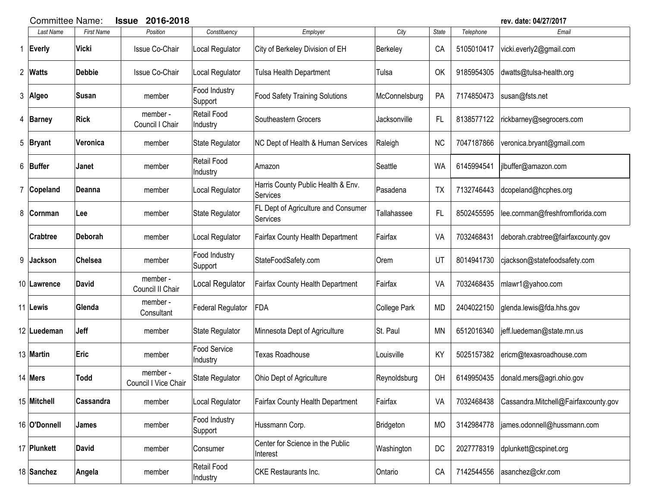|   |                 | 2016-2018<br><b>Committee Name:</b><br><b>Issue</b> |                                  |                                |                                                 |               | rev. date: 04/27/2017 |            |                                      |
|---|-----------------|-----------------------------------------------------|----------------------------------|--------------------------------|-------------------------------------------------|---------------|-----------------------|------------|--------------------------------------|
|   | Last Name       | <b>First Name</b>                                   | Position                         | Constituency                   | Employer                                        | City          | <b>State</b>          | Telephone  | Email                                |
| 1 | Everly          | Vicki                                               | Issue Co-Chair                   | Local Regulator                | City of Berkeley Division of EH                 | Berkeley      | CA                    | 5105010417 | vicki.everly2@gmail.com              |
|   | 2 Watts         | <b>Debbie</b>                                       | <b>Issue Co-Chair</b>            | Local Regulator                | Tulsa Health Department                         | Tulsa         | OK                    | 9185954305 | dwatts@tulsa-health.org              |
|   | 3 Algeo         | Susan                                               | member                           | Food Industry<br>Support       | <b>Food Safety Training Solutions</b>           | McConnelsburg | PA                    | 7174850473 | susan@fsts.net                       |
|   | 4 Barney        | <b>Rick</b>                                         | member -<br>Council I Chair      | <b>Retail Food</b><br>Industry | Southeastern Grocers                            | Jacksonville  | FL                    | 8138577122 | rickbarney@segrocers.com             |
|   | $5$  Bryant     | Veronica                                            | member                           | State Regulator                | NC Dept of Health & Human Services              | Raleigh       | <b>NC</b>             | 7047187866 | veronica.bryant@gmail.com            |
|   | 6 Buffer        | Janet                                               | member                           | <b>Retail Food</b><br>Industry | Amazon                                          | Seattle       | <b>WA</b>             | 6145994541 | jlbuffer@amazon.com                  |
|   | 7 Copeland      | Deanna                                              | member                           | Local Regulator                | Harris County Public Health & Env.<br>Services  | Pasadena      | TX                    | 7132746443 | dcopeland@hcphes.org                 |
| 8 | <b>Cornman</b>  | Lee                                                 | member                           | State Regulator                | FL Dept of Agriculture and Consumer<br>Services | Tallahassee   | FL                    | 8502455595 | lee.cornman@freshfromflorida.com     |
|   | <b>Crabtree</b> | Deborah                                             | member                           | Local Regulator                | Fairfax County Health Department                | Fairfax       | VA                    | 7032468431 | deborah.crabtree@fairfaxcounty.gov   |
| 9 | Jackson         | <b>Chelsea</b>                                      | member                           | Food Industry<br>Support       | StateFoodSafety.com                             | Orem          | UT                    | 8014941730 | cjackson@statefoodsafety.com         |
|   | 10 Lawrence     | <b>David</b>                                        | member -<br>Council II Chair     | Local Regulator                | <b>Fairfax County Health Department</b>         | Fairfax       | VA                    | 7032468435 | mlawr1@yahoo.com                     |
|   | 11 Lewis        | Glenda                                              | member -<br>Consultant           | Federal Regulator              | FDA                                             | College Park  | <b>MD</b>             | 2404022150 | glenda.lewis@fda.hhs.gov             |
|   | 12 Luedeman     | <b>Jeff</b>                                         | member                           | <b>State Regulator</b>         | Minnesota Dept of Agriculture                   | St. Paul      | <b>MN</b>             | 6512016340 | jeff.luedeman@state.mn.us            |
|   | 13 Martin       | <b>Eric</b>                                         | member                           | Food Service<br>Industry       | <b>Texas Roadhouse</b>                          | Louisville    | KY                    | 5025157382 | ericm@texasroadhouse.com             |
|   | 14 Mers         | Todd                                                | member -<br>Council I Vice Chair | State Regulator                | Ohio Dept of Agriculture                        | Reynoldsburg  | OH                    | 6149950435 | donald.mers@agri.ohio.gov            |
|   | 15 Mitchell     | Cassandra                                           | member                           | Local Regulator                | Fairfax County Health Department                | Fairfax       | VA                    | 7032468438 | Cassandra.Mitchell@Fairfaxcounty.gov |
|   | 16 O'Donnell    | James                                               | member                           | Food Industry<br>Support       | Hussmann Corp.                                  | Bridgeton     | <b>MO</b>             | 3142984778 | james.odonnell@hussmann.com          |
|   | 17 Plunkett     | <b>David</b>                                        | member                           | Consumer                       | Center for Science in the Public<br>Interest    | Washington    | DC                    | 2027778319 | dplunkett@cspinet.org                |
|   | 18 Sanchez      | Angela                                              | member                           | Retail Food<br>Industry        | <b>CKE</b> Restaurants Inc.                     | Ontario       | CA                    | 7142544556 | asanchez@ckr.com                     |